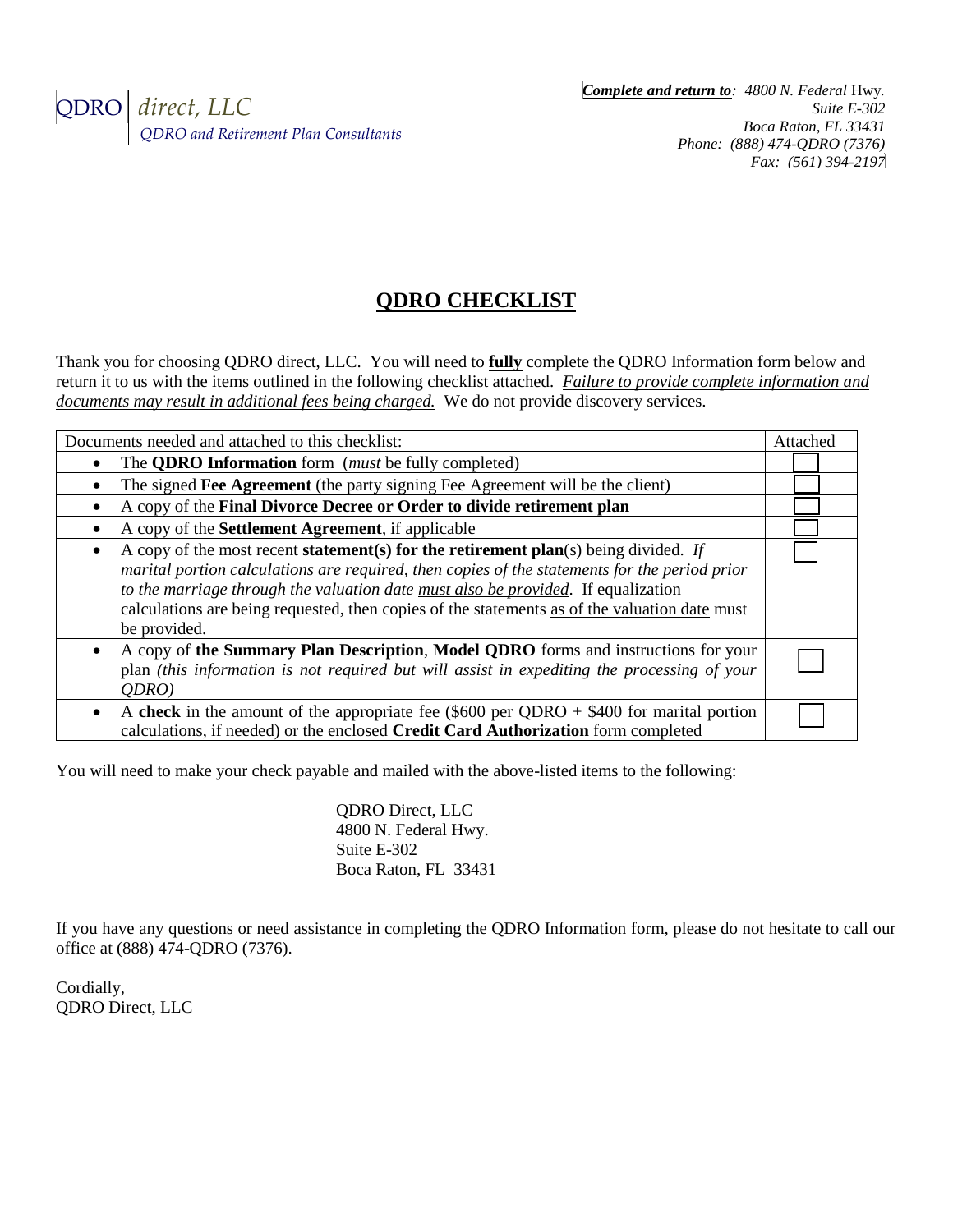

## **QDRO CHECKLIST**

Thank you for choosing QDRO direct, LLC. You will need to **fully** complete the QDRO Information form below and return it to us with the items outlined in the following checklist attached. *Failure to provide complete information and documents may result in additional fees being charged.* We do not provide discovery services.

| Documents needed and attached to this checklist:                                                                                                                                                                                                                                                                                                                                                               | Attached |
|----------------------------------------------------------------------------------------------------------------------------------------------------------------------------------------------------------------------------------------------------------------------------------------------------------------------------------------------------------------------------------------------------------------|----------|
| The <b>QDRO</b> Information form ( <i>must</i> be <u>fully</u> completed)                                                                                                                                                                                                                                                                                                                                      |          |
| The signed Fee Agreement (the party signing Fee Agreement will be the client)                                                                                                                                                                                                                                                                                                                                  |          |
| A copy of the Final Divorce Decree or Order to divide retirement plan                                                                                                                                                                                                                                                                                                                                          |          |
| A copy of the Settlement Agreement, if applicable                                                                                                                                                                                                                                                                                                                                                              |          |
| A copy of the most recent <b>statement(s)</b> for the retirement plan(s) being divided. If<br>$\bullet$<br>marital portion calculations are required, then copies of the statements for the period prior<br>to the marriage through the valuation date must also be provided. If equalization<br>calculations are being requested, then copies of the statements as of the valuation date must<br>be provided. |          |
| A copy of the Summary Plan Description, Model QDRO forms and instructions for your<br>$\bullet$<br>plan <i>(this information is not required but will assist in expediting the processing of your</i><br>ODRO                                                                                                                                                                                                  |          |
| A check in the amount of the appropriate fee $(\$600$ per QDRO + $\$400$ for marital portion<br>$\bullet$<br>calculations, if needed) or the enclosed <b>Credit Card Authorization</b> form completed                                                                                                                                                                                                          |          |

You will need to make your check payable and mailed with the above-listed items to the following:

QDRO Direct, LLC 4800 N. Federal Hwy. Suite E-302 Boca Raton, FL 33431

If you have any questions or need assistance in completing the QDRO Information form, please do not hesitate to call our office at (888) 474-QDRO (7376).

Cordially, QDRO Direct, LLC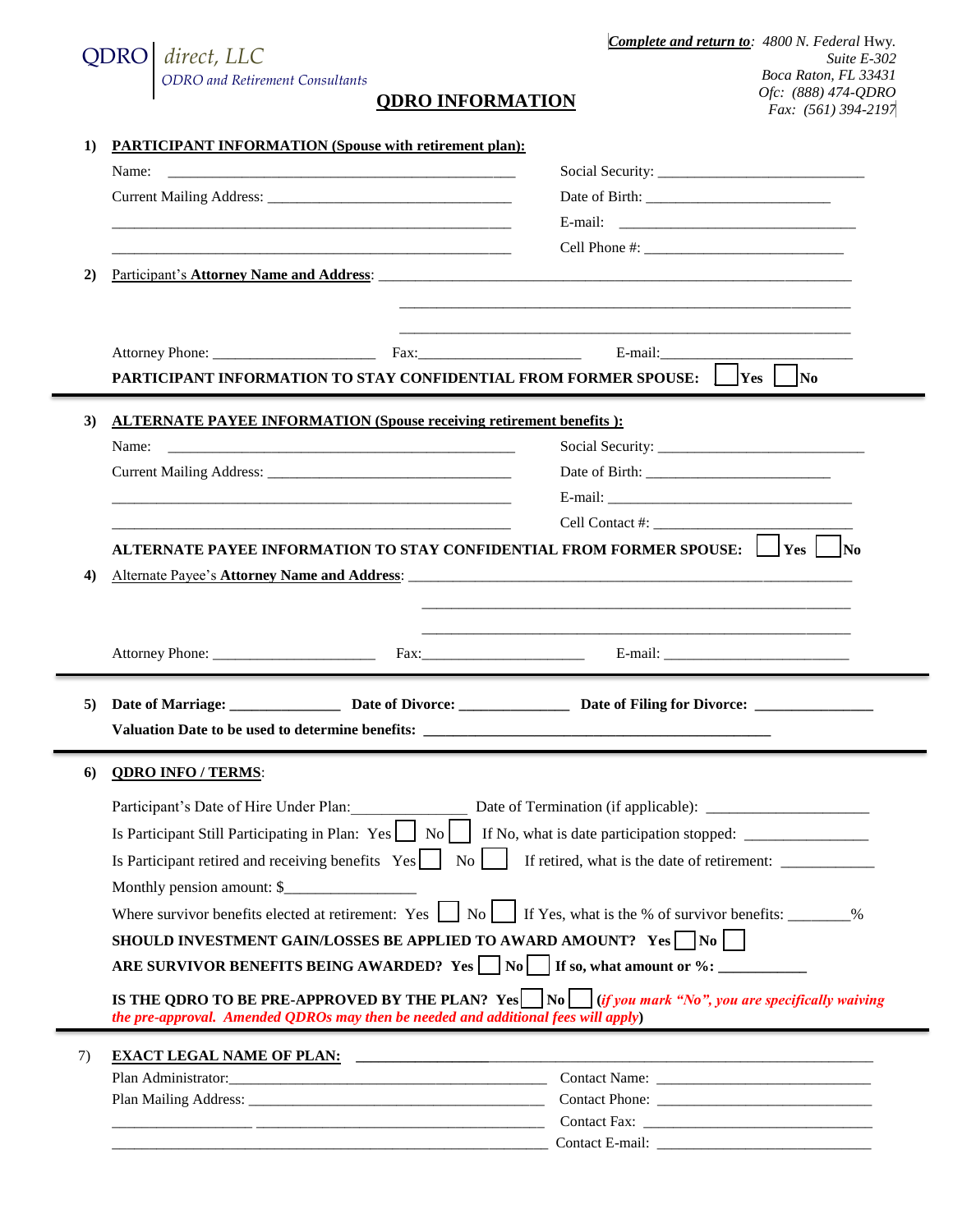|                | QDRO<br>$ $ direct, LLC                                                                                               |                                                                                                                     | <b>Complete and return to: 4800 N. Federal Hwy.</b>                                                                  | Suite E-302 |
|----------------|-----------------------------------------------------------------------------------------------------------------------|---------------------------------------------------------------------------------------------------------------------|----------------------------------------------------------------------------------------------------------------------|-------------|
|                | <b>ODRO</b> and Retirement Consultants                                                                                |                                                                                                                     | Boca Raton, FL 33431                                                                                                 |             |
|                |                                                                                                                       | <b>QDRO INFORMATION</b>                                                                                             | Ofc: (888) 474-QDRO                                                                                                  |             |
|                |                                                                                                                       |                                                                                                                     | Fax: (561) 394-2197                                                                                                  |             |
| 1)             | <b>PARTICIPANT INFORMATION (Spouse with retirement plan):</b>                                                         |                                                                                                                     |                                                                                                                      |             |
|                | Name:                                                                                                                 | <u> 2000 - Januar Amerikaanse kommunister († 2000)</u>                                                              |                                                                                                                      |             |
|                |                                                                                                                       |                                                                                                                     |                                                                                                                      |             |
|                |                                                                                                                       | and the control of the control of the control of the control of the control of the control of the control of the    |                                                                                                                      |             |
|                |                                                                                                                       |                                                                                                                     |                                                                                                                      |             |
| 2)             |                                                                                                                       |                                                                                                                     |                                                                                                                      |             |
|                |                                                                                                                       |                                                                                                                     |                                                                                                                      |             |
|                |                                                                                                                       |                                                                                                                     |                                                                                                                      |             |
|                |                                                                                                                       |                                                                                                                     |                                                                                                                      |             |
|                |                                                                                                                       |                                                                                                                     | <b>PARTICIPANT INFORMATION TO STAY CONFIDENTIAL FROM FORMER SPOUSE:       Yes       No</b>                           |             |
|                |                                                                                                                       |                                                                                                                     |                                                                                                                      |             |
| 3)             | <b>ALTERNATE PAYEE INFORMATION (Spouse receiving retirement benefits):</b>                                            |                                                                                                                     |                                                                                                                      |             |
|                | Name:                                                                                                                 | <u> 1999 - Johann Stein, markin fan it ferstjer fan de ferstjer fan it ferstjer fan de ferstjer fan it ferstjer</u> |                                                                                                                      |             |
|                |                                                                                                                       |                                                                                                                     |                                                                                                                      |             |
|                | <u> 1989 - Johann Stoff, deutscher Stoff, der Stoff, der Stoff, der Stoff, der Stoff, der Stoff, der Stoff, der S</u> |                                                                                                                     |                                                                                                                      |             |
|                |                                                                                                                       |                                                                                                                     |                                                                                                                      |             |
|                |                                                                                                                       |                                                                                                                     |                                                                                                                      |             |
|                |                                                                                                                       |                                                                                                                     |                                                                                                                      |             |
|                |                                                                                                                       |                                                                                                                     | ALTERNATE PAYEE INFORMATION TO STAY CONFIDENTIAL FROM FORMER SPOUSE:    Yes    No                                    |             |
|                |                                                                                                                       |                                                                                                                     |                                                                                                                      |             |
| 4)             |                                                                                                                       |                                                                                                                     |                                                                                                                      |             |
|                |                                                                                                                       |                                                                                                                     |                                                                                                                      |             |
|                |                                                                                                                       |                                                                                                                     |                                                                                                                      |             |
|                |                                                                                                                       |                                                                                                                     |                                                                                                                      |             |
|                |                                                                                                                       |                                                                                                                     |                                                                                                                      |             |
|                |                                                                                                                       |                                                                                                                     |                                                                                                                      |             |
|                | Valuation Date to be used to determine benefits:                                                                      |                                                                                                                     |                                                                                                                      |             |
|                |                                                                                                                       |                                                                                                                     |                                                                                                                      |             |
|                | <b>QDRO INFO / TERMS:</b>                                                                                             |                                                                                                                     |                                                                                                                      |             |
|                | Participant's Date of Hire Under Plan:                                                                                |                                                                                                                     |                                                                                                                      |             |
|                |                                                                                                                       |                                                                                                                     | Is Participant Still Participating in Plan: Yes $\Box$ No $\Box$ If No, what is date participation stopped: $\Box$   |             |
|                | Is Participant retired and receiving benefits Yes                                                                     | No l                                                                                                                | If retired, what is the date of retirement:                                                                          |             |
|                | Monthly pension amount: \$                                                                                            |                                                                                                                     |                                                                                                                      |             |
|                |                                                                                                                       |                                                                                                                     |                                                                                                                      |             |
|                |                                                                                                                       |                                                                                                                     | Where survivor benefits elected at retirement: Yes $\Box$ No $\Box$ If Yes, what is the % of survivor benefits: $\%$ |             |
|                |                                                                                                                       |                                                                                                                     | SHOULD INVESTMENT GAIN/LOSSES BE APPLIED TO AWARD AMOUNT? Yes No                                                     |             |
|                |                                                                                                                       |                                                                                                                     | ARE SURVIVOR BENEFITS BEING AWARDED? Yes $\vert \vert$ No $\vert$ if so, what amount or %:                           |             |
|                | the pre-approval. Amended QDROs may then be needed and additional fees will apply)                                    |                                                                                                                     | IS THE QDRO TO BE PRE-APPROVED BY THE PLAN? Yes $\vert$ No $\vert$ (if you mark "No", you are specifically waiving   |             |
|                |                                                                                                                       |                                                                                                                     |                                                                                                                      |             |
|                |                                                                                                                       |                                                                                                                     |                                                                                                                      |             |
| 5)<br>6)<br>7) |                                                                                                                       |                                                                                                                     |                                                                                                                      |             |
|                |                                                                                                                       | <u> 2002 - Andrea Andrewski, amerikansk politik (d. 1878)</u>                                                       |                                                                                                                      |             |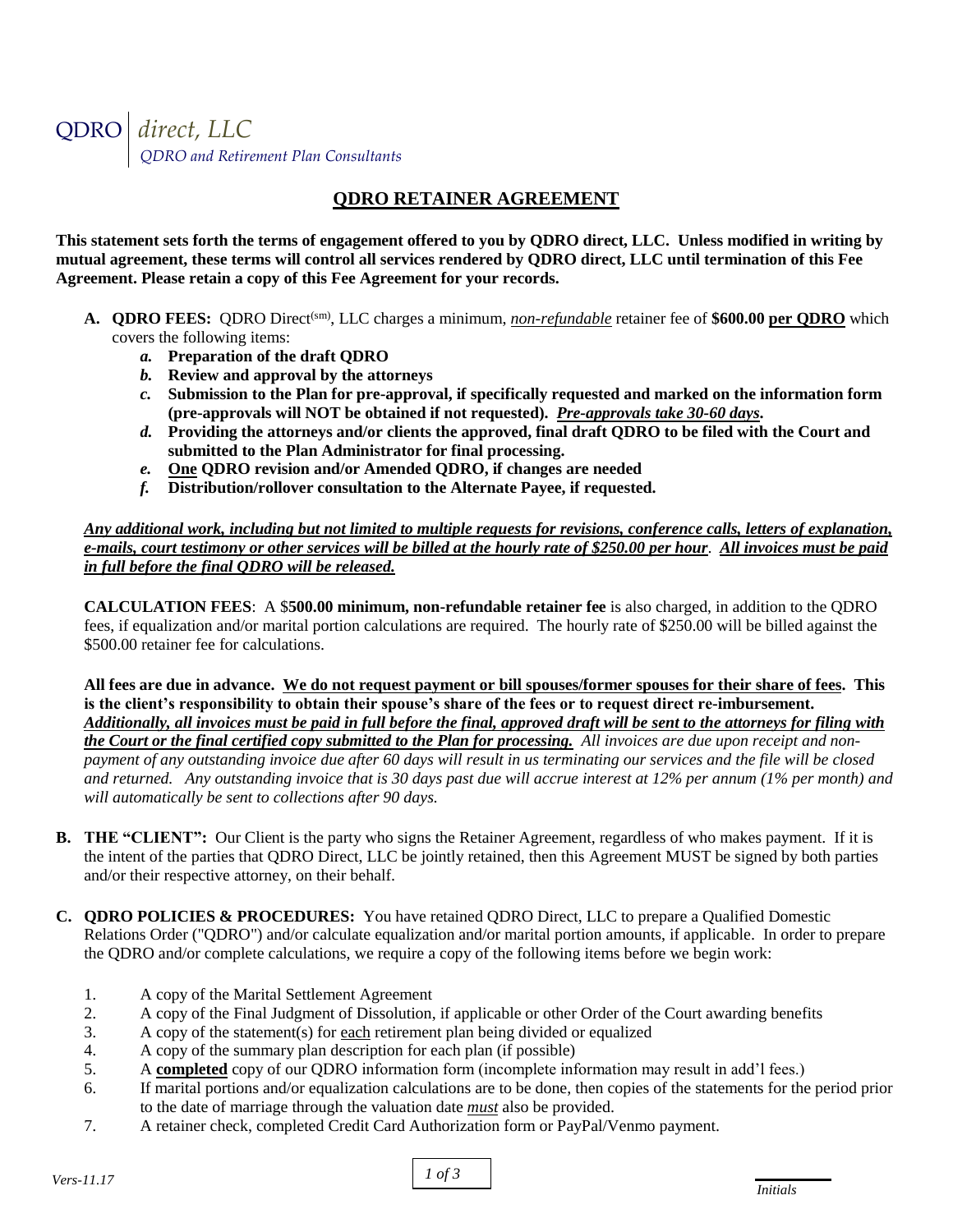# QDRO *direct, LLC QDRO and Retirement Plan Consultants*

## **QDRO RETAINER AGREEMENT**

**This statement sets forth the terms of engagement offered to you by QDRO direct, LLC. Unless modified in writing by mutual agreement, these terms will control all services rendered by QDRO direct, LLC until termination of this Fee Agreement. Please retain a copy of this Fee Agreement for your records.** 

- **A. QDRO FEES:** QDRO Direct(sm), LLC charges a minimum, *non-refundable* retainer fee of **\$600.00 per QDRO** which covers the following items:
	- *a.* **Preparation of the draft QDRO**
	- *b.* **Review and approval by the attorneys**
	- *c.* **Submission to the Plan for pre-approval, if specifically requested and marked on the information form (pre-approvals will NOT be obtained if not requested).** *Pre-approvals take 30-60 days***.**
	- *d.* **Providing the attorneys and/or clients the approved, final draft QDRO to be filed with the Court and submitted to the Plan Administrator for final processing.**
	- *e.* **One QDRO revision and/or Amended QDRO, if changes are needed**
	- *f.* **Distribution/rollover consultation to the Alternate Payee, if requested.**

*Any additional work, including but not limited to multiple requests for revisions, conference calls, letters of explanation, e-mails, court testimony or other services will be billed at the hourly rate of \$250.00 per hour*. *All invoices must be paid in full before the final QDRO will be released.*

**CALCULATION FEES**: A \$**500.00 minimum, non-refundable retainer fee** is also charged, in addition to the QDRO fees, if equalization and/or marital portion calculations are required. The hourly rate of \$250.00 will be billed against the \$500.00 retainer fee for calculations.

**All fees are due in advance. We do not request payment or bill spouses/former spouses for their share of fees. This is the client's responsibility to obtain their spouse's share of the fees or to request direct re-imbursement.**  *Additionally, all invoices must be paid in full before the final, approved draft will be sent to the attorneys for filing with the Court or the final certified copy submitted to the Plan for processing. All invoices are due upon receipt and nonpayment of any outstanding invoice due after 60 days will result in us terminating our services and the file will be closed and returned. Any outstanding invoice that is 30 days past due will accrue interest at 12% per annum (1% per month) and will automatically be sent to collections after 90 days.*

- **B. THE "CLIENT":** Our Client is the party who signs the Retainer Agreement, regardless of who makes payment. If it is the intent of the parties that QDRO Direct, LLC be jointly retained, then this Agreement MUST be signed by both parties and/or their respective attorney, on their behalf.
- **C. QDRO POLICIES & PROCEDURES:** You have retained QDRO Direct, LLC to prepare a Qualified Domestic Relations Order ("QDRO") and/or calculate equalization and/or marital portion amounts, if applicable. In order to prepare the QDRO and/or complete calculations, we require a copy of the following items before we begin work:
	- 1. A copy of the Marital Settlement Agreement
	- 2. A copy of the Final Judgment of Dissolution, if applicable or other Order of the Court awarding benefits
	- 3. A copy of the statement(s) for each retirement plan being divided or equalized
	- 4. A copy of the summary plan description for each plan (if possible)
	- 5. A **completed** copy of our QDRO information form (incomplete information may result in add'l fees.)
	- 6. If marital portions and/or equalization calculations are to be done, then copies of the statements for the period prior to the date of marriage through the valuation date *must* also be provided.
	- 7. A retainer check, completed Credit Card Authorization form or PayPal/Venmo payment.

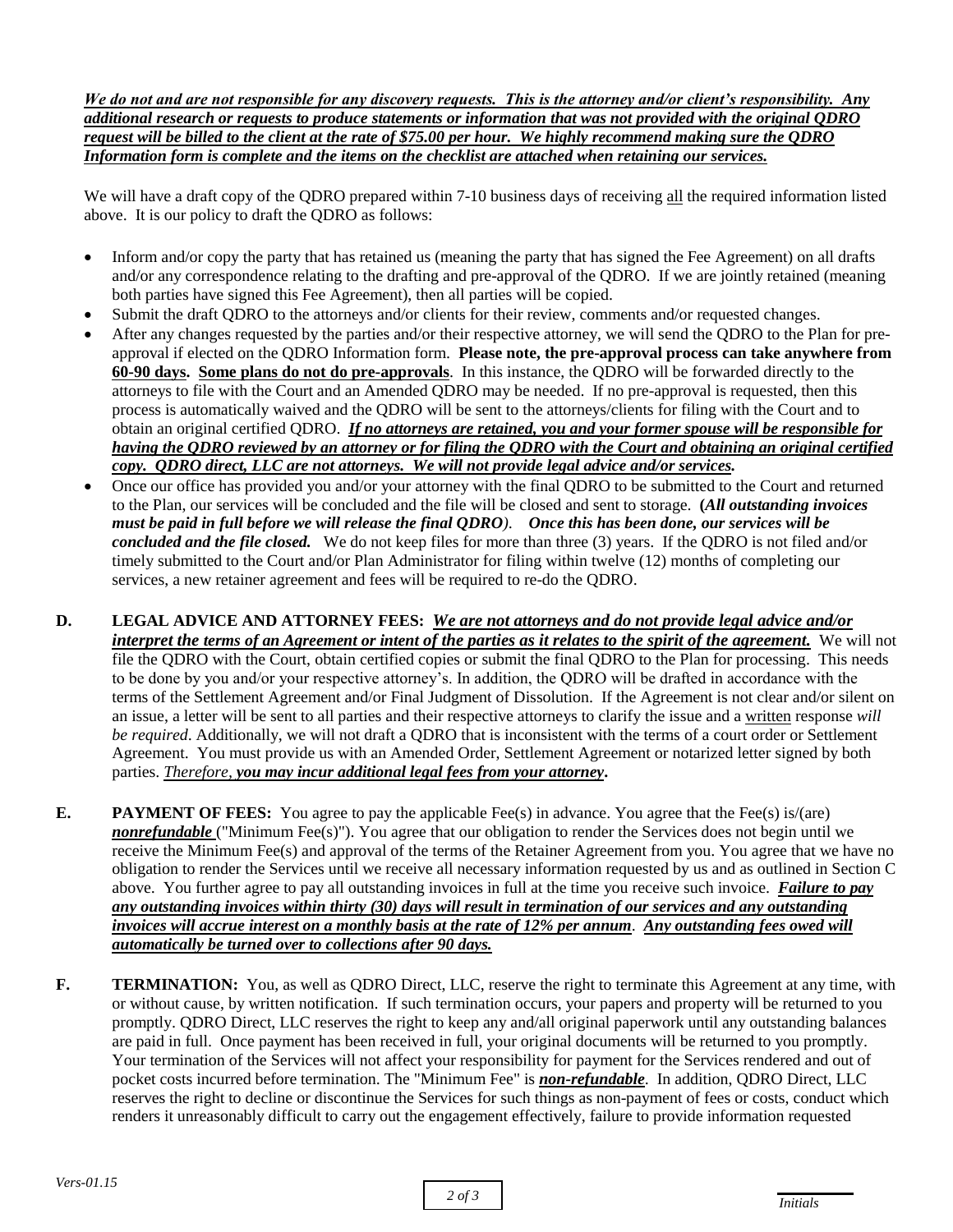*We do not and are not responsible for any discovery requests. This is the attorney and/or client's responsibility. Any additional research or requests to produce statements or information that was not provided with the original QDRO request will be billed to the client at the rate of \$75.00 per hour. We highly recommend making sure the QDRO Information form is complete and the items on the checklist are attached when retaining our services.*

We will have a draft copy of the QDRO prepared within 7-10 business days of receiving all the required information listed above. It is our policy to draft the QDRO as follows:

- Inform and/or copy the party that has retained us (meaning the party that has signed the Fee Agreement) on all drafts and/or any correspondence relating to the drafting and pre-approval of the QDRO. If we are jointly retained (meaning both parties have signed this Fee Agreement), then all parties will be copied.
- Submit the draft QDRO to the attorneys and/or clients for their review, comments and/or requested changes.
- After any changes requested by the parties and/or their respective attorney, we will send the QDRO to the Plan for preapproval if elected on the QDRO Information form. **Please note, the pre-approval process can take anywhere from 60-90 days. Some plans do not do pre-approvals**. In this instance, the QDRO will be forwarded directly to the attorneys to file with the Court and an Amended QDRO may be needed. If no pre-approval is requested, then this process is automatically waived and the QDRO will be sent to the attorneys/clients for filing with the Court and to obtain an original certified QDRO. *If no attorneys are retained, you and your former spouse will be responsible for having the QDRO reviewed by an attorney or for filing the QDRO with the Court and obtaining an original certified copy. QDRO direct, LLC are not attorneys. We will not provide legal advice and/or services.*
- Once our office has provided you and/or your attorney with the final QDRO to be submitted to the Court and returned to the Plan, our services will be concluded and the file will be closed and sent to storage. **(***All outstanding invoices must be paid in full before we will release the final QDRO)*. *Once this has been done, our services will be concluded and the file closed.* We do not keep files for more than three (3) years. If the QDRO is not filed and/or timely submitted to the Court and/or Plan Administrator for filing within twelve (12) months of completing our services, a new retainer agreement and fees will be required to re-do the QDRO.
- **D. LEGAL ADVICE AND ATTORNEY FEES:** *We are not attorneys and do not provide legal advice and/or interpret the terms of an Agreement or intent of the parties as it relates to the spirit of the agreement.* We will not file the QDRO with the Court, obtain certified copies or submit the final QDRO to the Plan for processing. This needs to be done by you and/or your respective attorney's. In addition, the QDRO will be drafted in accordance with the terms of the Settlement Agreement and/or Final Judgment of Dissolution. If the Agreement is not clear and/or silent on an issue, a letter will be sent to all parties and their respective attorneys to clarify the issue and a written response *will be required*. Additionally, we will not draft a QDRO that is inconsistent with the terms of a court order or Settlement Agreement. You must provide us with an Amended Order, Settlement Agreement or notarized letter signed by both parties. *Therefore, you may incur additional legal fees from your attorney***.**
- **E. PAYMENT OF FEES:** You agree to pay the applicable Fee(s) in advance. You agree that the Fee(s) is/(are) *nonrefundable* ("Minimum Fee(s)"). You agree that our obligation to render the Services does not begin until we receive the Minimum Fee(s) and approval of the terms of the Retainer Agreement from you. You agree that we have no obligation to render the Services until we receive all necessary information requested by us and as outlined in Section C above. You further agree to pay all outstanding invoices in full at the time you receive such invoice. *Failure to pay any outstanding invoices within thirty (30) days will result in termination of our services and any outstanding invoices will accrue interest on a monthly basis at the rate of 12% per annum*. *Any outstanding fees owed will automatically be turned over to collections after 90 days.*
- **F. TERMINATION:** You, as well as QDRO Direct, LLC, reserve the right to terminate this Agreement at any time, with or without cause, by written notification. If such termination occurs, your papers and property will be returned to you promptly. QDRO Direct, LLC reserves the right to keep any and/all original paperwork until any outstanding balances are paid in full. Once payment has been received in full, your original documents will be returned to you promptly. Your termination of the Services will not affect your responsibility for payment for the Services rendered and out of pocket costs incurred before termination. The "Minimum Fee" is *non-refundable*. In addition, QDRO Direct, LLC reserves the right to decline or discontinue the Services for such things as non-payment of fees or costs, conduct which renders it unreasonably difficult to carry out the engagement effectively, failure to provide information requested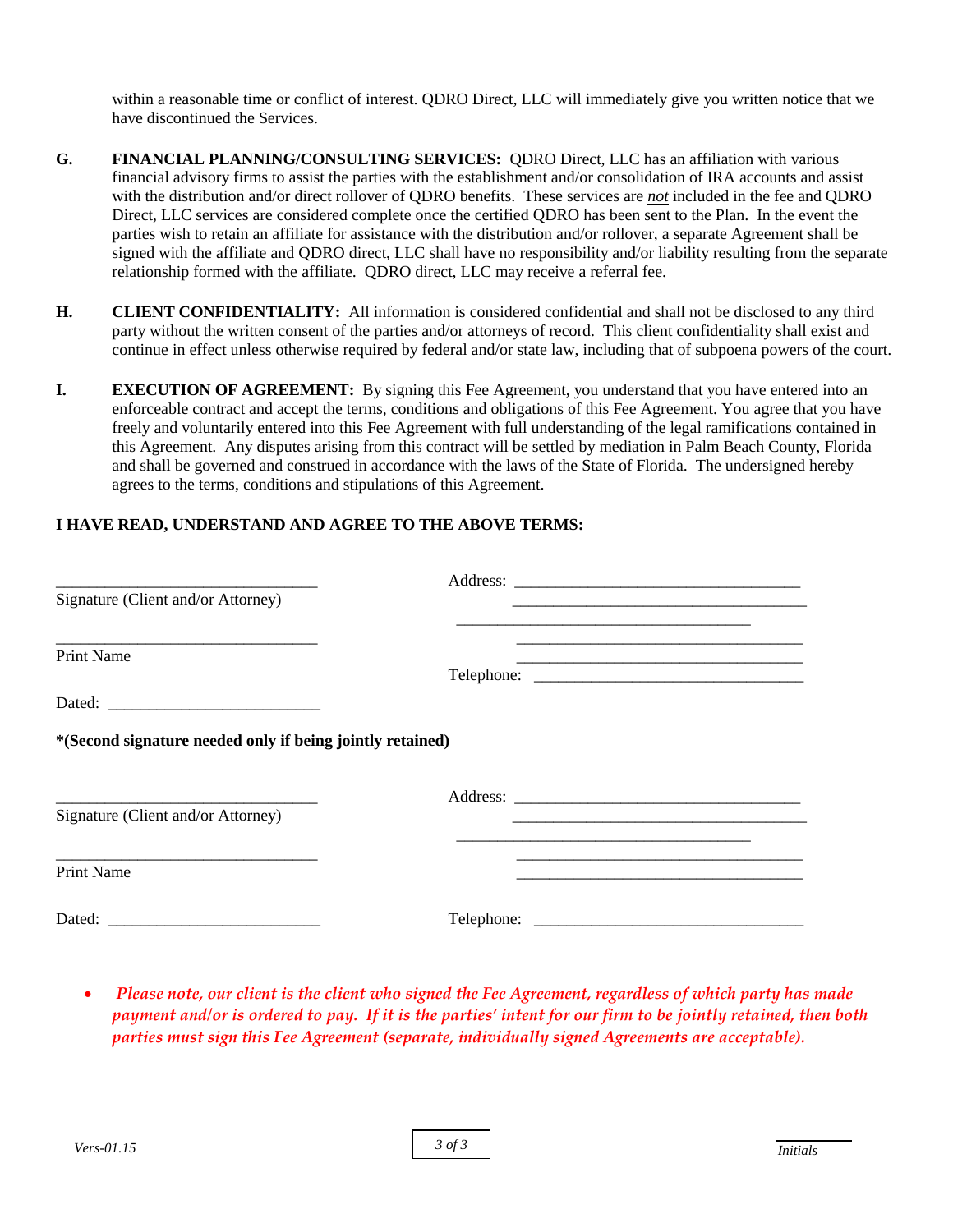within a reasonable time or conflict of interest. QDRO Direct, LLC will immediately give you written notice that we have discontinued the Services.

- **G. FINANCIAL PLANNING/CONSULTING SERVICES:** QDRO Direct, LLC has an affiliation with various financial advisory firms to assist the parties with the establishment and/or consolidation of IRA accounts and assist with the distribution and/or direct rollover of QDRO benefits. These services are *not* included in the fee and QDRO Direct, LLC services are considered complete once the certified QDRO has been sent to the Plan. In the event the parties wish to retain an affiliate for assistance with the distribution and/or rollover, a separate Agreement shall be signed with the affiliate and QDRO direct, LLC shall have no responsibility and/or liability resulting from the separate relationship formed with the affiliate. QDRO direct, LLC may receive a referral fee.
- **H. CLIENT CONFIDENTIALITY:** All information is considered confidential and shall not be disclosed to any third party without the written consent of the parties and/or attorneys of record. This client confidentiality shall exist and continue in effect unless otherwise required by federal and/or state law, including that of subpoena powers of the court.
- **I. EXECUTION OF AGREEMENT:** By signing this Fee Agreement, you understand that you have entered into an enforceable contract and accept the terms, conditions and obligations of this Fee Agreement. You agree that you have freely and voluntarily entered into this Fee Agreement with full understanding of the legal ramifications contained in this Agreement. Any disputes arising from this contract will be settled by mediation in Palm Beach County, Florida and shall be governed and construed in accordance with the laws of the State of Florida. The undersigned hereby agrees to the terms, conditions and stipulations of this Agreement.

#### **I HAVE READ, UNDERSTAND AND AGREE TO THE ABOVE TERMS:**

| Signature (Client and/or Attorney)                        |  |
|-----------------------------------------------------------|--|
| <b>Print Name</b>                                         |  |
|                                                           |  |
| *(Second signature needed only if being jointly retained) |  |
|                                                           |  |
| Signature (Client and/or Attorney)                        |  |
| <b>Print Name</b>                                         |  |
|                                                           |  |

• *Please note, our client is the client who signed the Fee Agreement, regardless of which party has made payment and/or is ordered to pay. If it is the parties' intent for our firm to be jointly retained, then both parties must sign this Fee Agreement (separate, individually signed Agreements are acceptable).*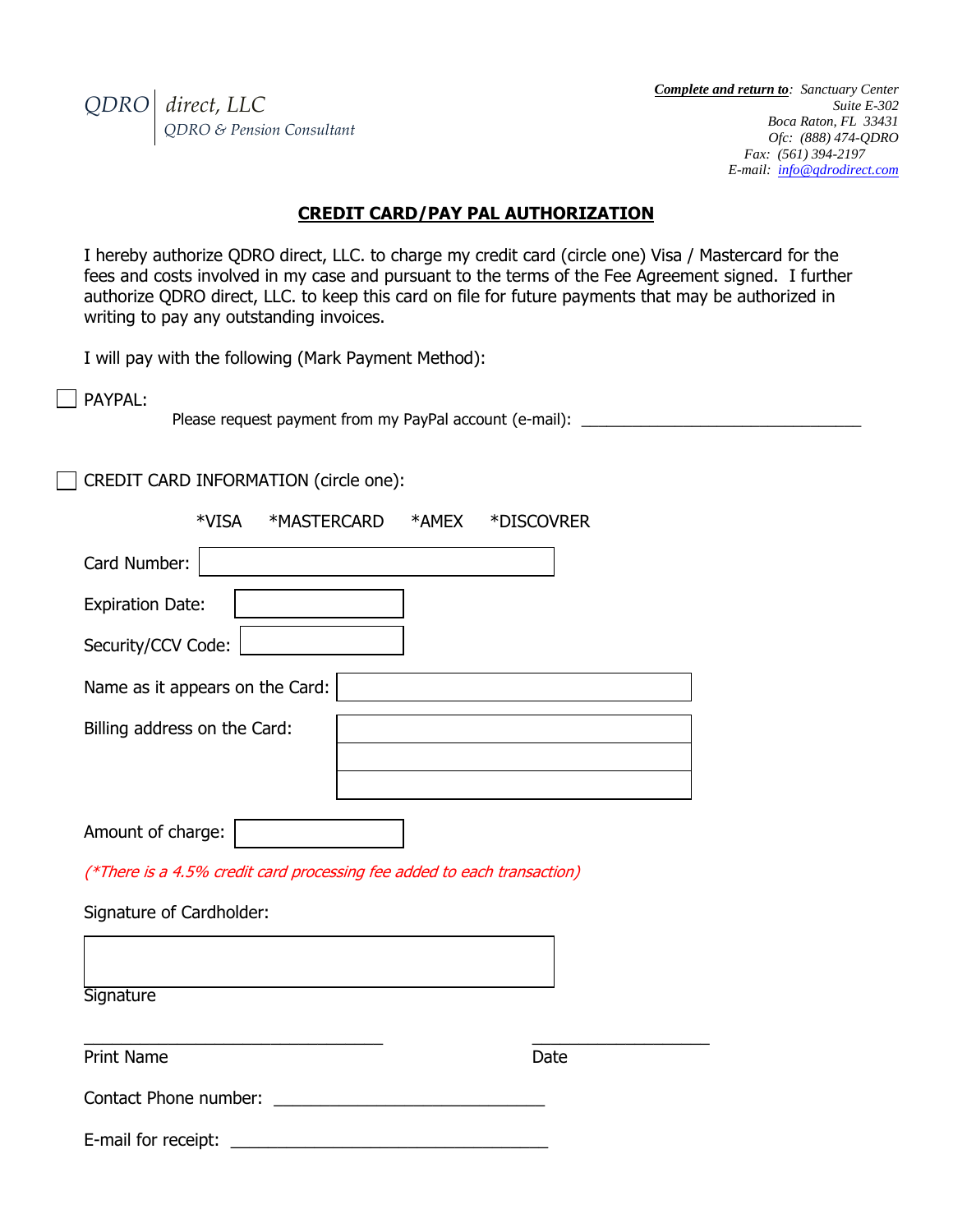*QDRO direct, LLC QDRO & Pension Consultant* *Complete and return to: Sanctuary Center Suite E-302 Boca Raton, FL 33431 Ofc: (888) 474-QDRO Fax: (561) 394-2197 E-mail: [info@qdrodirect.com](mailto:info@qdrodirect.com)*

## **CREDIT CARD/PAY PAL AUTHORIZATION**

I hereby authorize QDRO direct, LLC. to charge my credit card (circle one) Visa / Mastercard for the fees and costs involved in my case and pursuant to the terms of the Fee Agreement signed. I further authorize QDRO direct, LLC. to keep this card on file for future payments that may be authorized in writing to pay any outstanding invoices.

I will pay with the following (Mark Payment Method):

PAYPAL:

Please request payment from my PayPal account (e-mail): \_\_\_\_\_\_\_\_\_\_\_\_\_\_\_\_\_\_\_\_\_\_\_\_

CREDIT CARD INFORMATION (circle one):

|                                                                         | *VISA | *MASTERCARD | *AMEX | *DISCOVRER |  |
|-------------------------------------------------------------------------|-------|-------------|-------|------------|--|
| Card Number:                                                            |       |             |       |            |  |
| <b>Expiration Date:</b>                                                 |       |             |       |            |  |
| Security/CCV Code:                                                      |       |             |       |            |  |
| Name as it appears on the Card:                                         |       |             |       |            |  |
| Billing address on the Card:                                            |       |             |       |            |  |
|                                                                         |       |             |       |            |  |
|                                                                         |       |             |       |            |  |
| Amount of charge:                                                       |       |             |       |            |  |
| (*There is a 4.5% credit card processing fee added to each transaction) |       |             |       |            |  |
| Signature of Cardholder:                                                |       |             |       |            |  |

 $\frac{1}{2}$  ,  $\frac{1}{2}$  ,  $\frac{1}{2}$  ,  $\frac{1}{2}$  ,  $\frac{1}{2}$  ,  $\frac{1}{2}$  ,  $\frac{1}{2}$  ,  $\frac{1}{2}$  ,  $\frac{1}{2}$  ,  $\frac{1}{2}$  ,  $\frac{1}{2}$  ,  $\frac{1}{2}$  ,  $\frac{1}{2}$  ,  $\frac{1}{2}$  ,  $\frac{1}{2}$  ,  $\frac{1}{2}$  ,  $\frac{1}{2}$  ,  $\frac{1}{2}$  ,  $\frac{1$ 

**Signature** 

Print Name Date

Contact Phone number: \_\_\_\_\_\_\_\_\_\_\_\_\_\_\_\_\_\_\_\_\_\_\_\_\_\_\_\_\_

E-mail for receipt:  $\blacksquare$